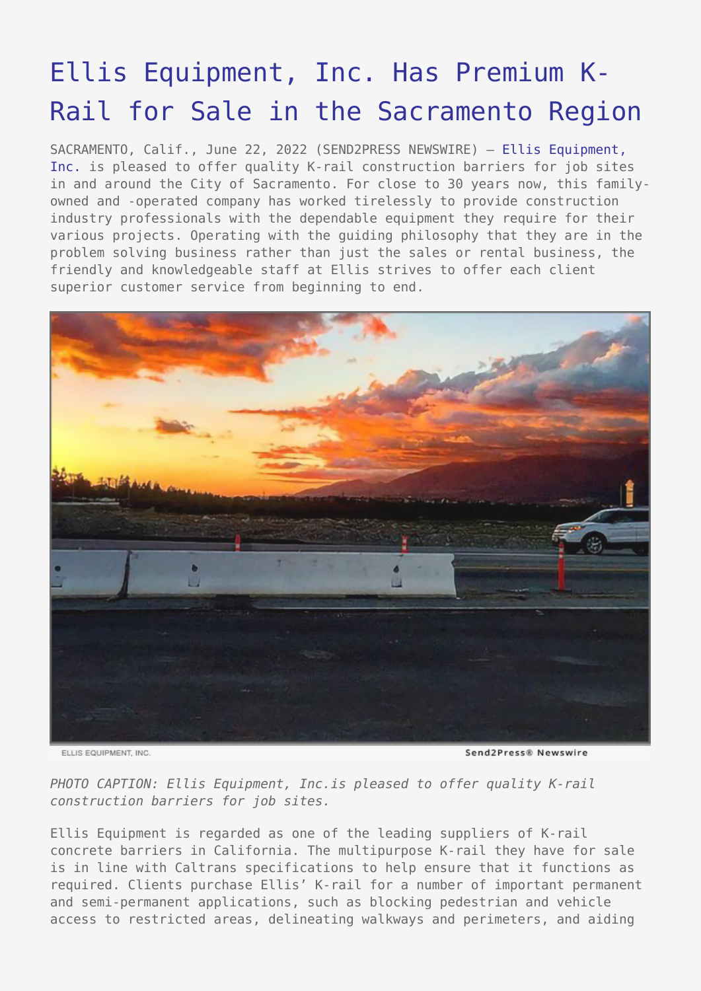## [Ellis Equipment, Inc. Has Premium K-](https://www.send2press.com/wire/ellis-equipment-inc-has-premium-k-rail-for-sale-in-the-sacramento-region/)[Rail for Sale in the Sacramento Region](https://www.send2press.com/wire/ellis-equipment-inc-has-premium-k-rail-for-sale-in-the-sacramento-region/)

SACRAMENTO, Calif., June 22, 2022 (SEND2PRESS NEWSWIRE) — [Ellis Equipment,](https://www.ellisrents.com/) [Inc.](https://www.ellisrents.com/) is pleased to offer quality K-rail construction barriers for job sites in and around the City of Sacramento. For close to 30 years now, this familyowned and -operated company has worked tirelessly to provide construction industry professionals with the dependable equipment they require for their various projects. Operating with the guiding philosophy that they are in the problem solving business rather than just the sales or rental business, the friendly and knowledgeable staff at Ellis strives to offer each client superior customer service from beginning to end.



ELLIS EQUIPMENT, INC.

Send2Press® Newswire

*PHOTO CAPTION: Ellis Equipment, Inc.is pleased to offer quality K-rail construction barriers for job sites.*

Ellis Equipment is regarded as one of the leading suppliers of K-rail concrete barriers in California. The multipurpose K-rail they have for sale is in line with Caltrans specifications to help ensure that it functions as required. Clients purchase Ellis' K-rail for a number of important permanent and semi-permanent applications, such as blocking pedestrian and vehicle access to restricted areas, delineating walkways and perimeters, and aiding